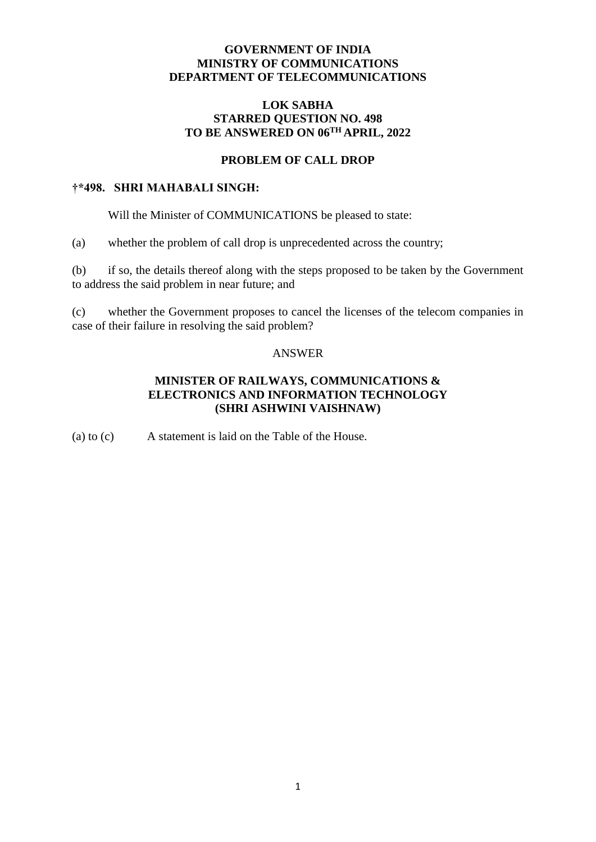## **GOVERNMENT OF INDIA MINISTRY OF COMMUNICATIONS DEPARTMENT OF TELECOMMUNICATIONS**

### **LOK SABHA STARRED QUESTION NO. 498 TO BE ANSWERED ON 06TH APRIL, 2022**

# **PROBLEM OF CALL DROP**

#### **†\*498. SHRI MAHABALI SINGH:**

Will the Minister of COMMUNICATIONS be pleased to state:

(a) whether the problem of call drop is unprecedented across the country;

(b) if so, the details thereof along with the steps proposed to be taken by the Government to address the said problem in near future; and

(c) whether the Government proposes to cancel the licenses of the telecom companies in case of their failure in resolving the said problem?

#### ANSWER

# **MINISTER OF RAILWAYS, COMMUNICATIONS & ELECTRONICS AND INFORMATION TECHNOLOGY (SHRI ASHWINI VAISHNAW)**

(a) to (c) A statement is laid on the Table of the House.